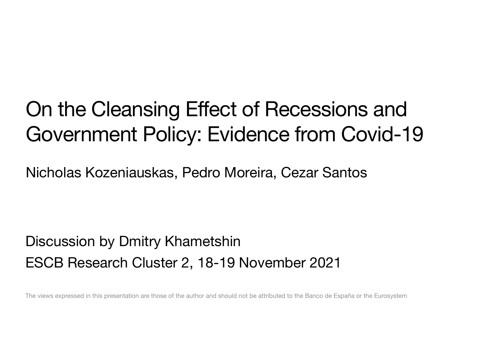### On the Cleansing Effect of Recessions and Government Policy: Evidence from Covid-19

Nicholas Kozeniauskas, Pedro Moreira, Cezar Santos

Discussion by Dmitry Khametshin ESCB Research Cluster 2, 18-19 November 2021

The views expressed in this presentation are those of the author and should not be attributed to the Banco de España or the Eurosystem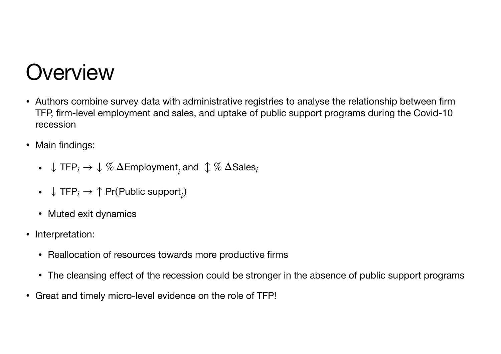### **Overview**

- Authors combine survey data with administrative registries to analyse the relationship between firm TFP, firm-level employment and sales, and uptake of public support programs during the Covid-10 recession
- Main findings:
	- ↓ TFP*<sup>i</sup>* → ↓ % ΔEmployment*<sup>i</sup>* and ↕ % ΔSales*<sup>i</sup>*
	- $↓$  TFP<sub>*i*</sub>  $→$  ↑ Pr(Public support<sub>*i</sub>*)</sub>
	- Muted exit dynamics
- Interpretation:
	- Reallocation of resources towards more productive firms
	- The cleansing effect of the recession could be stronger in the absence of public support programs
- Great and timely micro-level evidence on the role of TFP!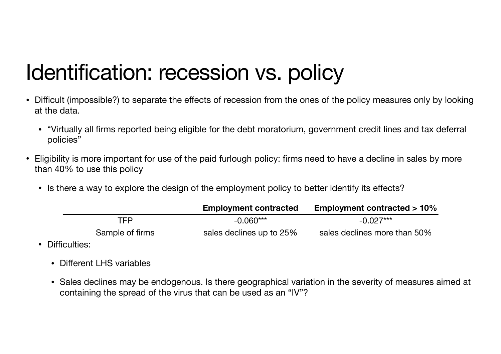# Identification: recession vs. policy

- Difficult (impossible?) to separate the effects of recession from the ones of the policy measures only by looking at the data.
	- "Virtually all firms reported being eligible for the debt moratorium, government credit lines and tax deferral policies"
- Eligibility is more important for use of the paid furlough policy: firms need to have a decline in sales by more than 40% to use this policy
	- Is there a way to explore the design of the employment policy to better identify its effects?

|                 | <b>Employment contracted</b> | <b>Employment contracted &gt; 10%</b> |
|-----------------|------------------------------|---------------------------------------|
| <b>TFP</b>      | $-0.060***$                  | $-0.027***$                           |
| Sample of firms | sales declines up to 25%     | sales declines more than 50%          |

- Difficulties:
	- Different LHS variables
	- Sales declines may be endogenous. Is there geographical variation in the severity of measures aimed at containing the spread of the virus that can be used as an "IV"?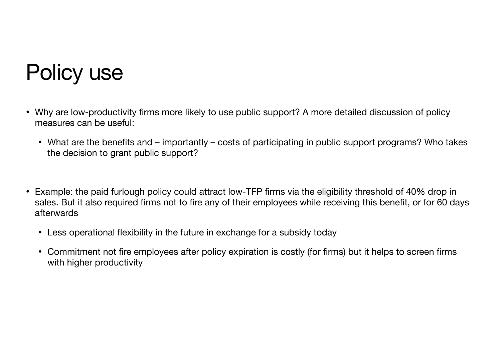## Policy use

- Why are low-productivity firms more likely to use public support? A more detailed discussion of policy measures can be useful:
	- What are the benefits and importantly costs of participating in public support programs? Who takes the decision to grant public support?
- Example: the paid furlough policy could attract low-TFP firms via the eligibility threshold of 40% drop in sales. But it also required firms not to fire any of their employees while receiving this benefit, or for 60 days afterwards
	- Less operational flexibility in the future in exchange for a subsidy today
	- Commitment not fire employees after policy expiration is costly (for firms) but it helps to screen firms with higher productivity